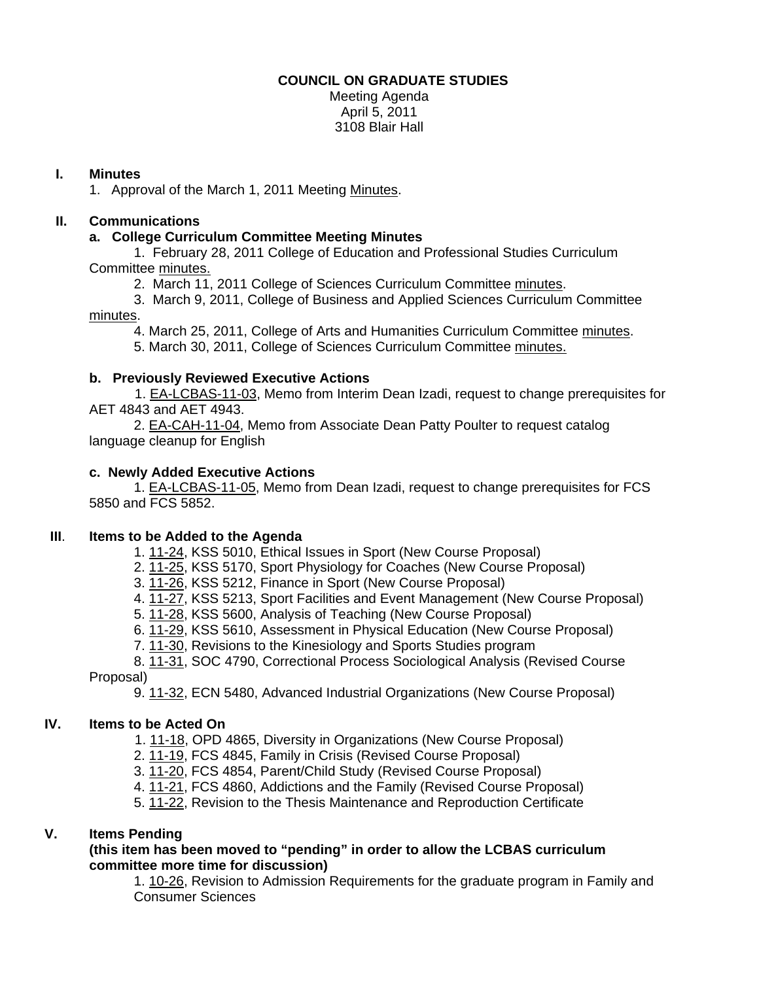### **COUNCIL ON GRADUATE STUDIES**

Meeting Agenda April 5, 2011 3108 Blair Hall

### **I. Minutes**

1. Approval of the March 1, 2011 Meetin[g Minutes.](http://castle.eiu.edu/~eiucgs/currentminutes/Minutes3-1-11.pdf) 

# **II. Communications**

### **a. College Curriculum Committee Meeting Minutes**

 1. February 28, 2011 College of Education and Professional Studies Curriculum Committe[e minutes.](http://castle.eiu.edu/~eiucgs/currentagendaitems/CEPSMin2-28-11.pdf)

2. March 11, 2011 College of Sciences Curriculum Committe[e minutes.](http://castle.eiu.edu/~eiucgs/currentagendaitems/COSMin3-11-11.pdf) 

 3. March 9, 2011, College of Business and Applied Sciences Curriculum Committee [minutes.](http://castle.eiu.edu/~eiucgs/currentagendaitems/LCBASMin3-9-11.pdf) 

4. March 25, 2011, College of Arts and Humanities Curriculum Committe[e minutes.](http://castle.eiu.edu/~eiucgs/currentagendaitems/CAHMin3-25-11.pdf) 

5. March 30, 2011, College of Sciences Curriculum Committe[e minutes.](http://castle.eiu.edu/~eiucgs/currentagendaitems/COSMin3-30-11.pdf)

# **b. Previously Reviewed Executive Actions**

 [1. EA-LCBAS-11-03,](http://castle.eiu.edu/~eiucgs/exec-actions/EA-LCBAS-11-03.pdf) Memo from Interim Dean Izadi, request to change prerequisites for AET 4843 and AET 4943.

 [2. EA-CAH-11-04, Me](http://castle.eiu.edu/~eiucgs/exec-actions/EA-CAH-11-04.pdf)mo from Associate Dean Patty Poulter to request catalog language cleanup for English

### **c. Newly Added Executive Actions**

 [1. EA-LCBAS-11-05, M](http://castle.eiu.edu/~eiucgs/exec-actions/EA-LCBAS-11-05.pdf)emo from Dean Izadi, request to change prerequisites for FCS 5850 and FCS 5852.

### **III**. **Items to be Added to the Agenda**

[1. 11-24, K](http://www.eiu.edu/~eiucgs/currentagendaitems/agenda11-24.pdf)SS 5010, Ethical Issues in Sport (New Course Proposal)

- 2. [11-25, K](http://www.eiu.edu/~eiucgs/currentagendaitems/agenda11-25.pdf)SS 5170, Sport Physiology for Coaches (New Course Proposal)
- 3. [11-26,](http://www.eiu.edu/~eiucgs/currentagendaitems/agenda11-26.pdf) KSS 5212, Finance in Sport (New Course Proposal)
- 4. [11-27, K](http://www.eiu.edu/~eiucgs/currentagendaitems/agenda11-27.pdf)SS 5213, Sport Facilities and Event Management (New Course Proposal)
- 5[. 11-28, K](http://www.eiu.edu/~eiucgs/currentagendaitems/agenda11-28.pdf)SS 5600, Analysis of Teaching (New Course Proposal)
- 6. [11-29,](http://www.eiu.edu/~eiucgs/currentagendaitems/agenda11-29.pdf) KSS 5610, Assessment in Physical Education (New Course Proposal)

7. [11-30, Re](http://www.eiu.edu/~eiucgs/currentagendaitems/agenda11-30.pdf)visions to the Kinesiology and Sports Studies program

8. [11-31, S](http://www.eiu.edu/~eiucgs/currentagendaitems/agenda11-31.pdf)OC 4790, Correctional Process Sociological Analysis (Revised Course

Proposal)

9[. 11-32, E](http://www.eiu.edu/~eiucgs/currentagendaitems/agenda11-32.pdf)CN 5480, Advanced Industrial Organizations (New Course Proposal)

# **IV. Items to be Acted On**

- 1. [11-18, O](http://www.eiu.edu/~eiucgs/currentagendaitems/agenda11-18.pdf)PD 4865, Diversity in Organizations (New Course Proposal)
- 2. [11-19, F](http://www.eiu.edu/~eiucgs/currentagendaitems/agenda11-19.pdf)CS 4845, Family in Crisis (Revised Course Proposal)
- 3. [11-20,](http://www.eiu.edu/~eiucgs/currentagendaitems/agenda11-20.pdf) FCS 4854, Parent/Child Study (Revised Course Proposal)
- 4. [11-21,](http://www.eiu.edu/~eiucgs/currentagendaitems/agenda11-21.pdf) FCS 4860, Addictions and the Family (Revised Course Proposal)
- 5. [11-22,](http://www.eiu.edu/~eiucgs/currentagendaitems/agenda11-22.pdf) Revision to the Thesis Maintenance and Reproduction Certificate

# **V. Items Pending**

 **(this item has been moved to "pending" in order to allow the LCBAS curriculum committee more time for discussion)**

1[. 10-26,](http://www.eiu.edu/~eiucgs/currentagendaitems/agenda10-26.pdf) Revision to Admission Requirements for the graduate program in Family and Consumer Sciences